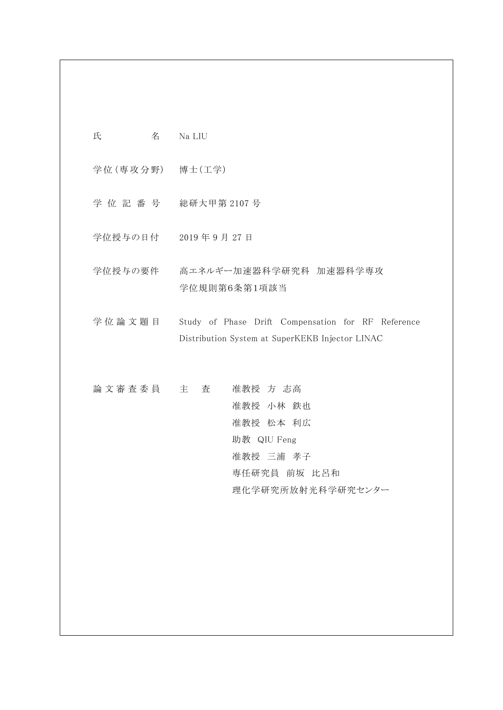氏 名 Na LIU

学位(専攻分野) 博士(工学)

- 学位記番号 総研大甲第 2107 号
- 学位授与の日付 2019 年 9 月 27 日
- 学位授与の要件 高エネルギー加速器科学研究科 加速器科学専攻 学位規則第6条第1項該当

学位論文題 目 Study of Phase Drift Compensation for RF Reference Distribution System at SuperKEKB Injector LINAC

論文審査委員 主 査 准教授 方 志高 准教授 小林 鉄也 准教授 松本 利広 助教 QIU Feng 准教授 三浦 孝子 専任研究員 前坂 比呂和 理化学研究所放射光科学研究センター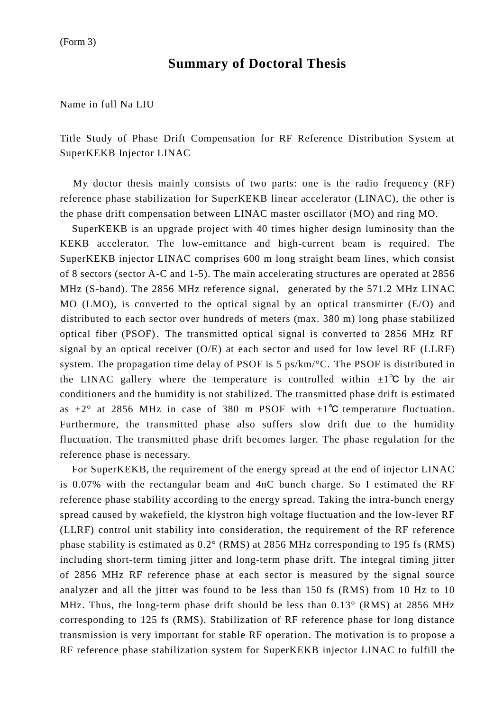## **Summary of Doctoral Thesis**

Name in full Na LIU

Title Study of Phase Drift Compensation for RF Reference Distribution System at SuperKEKB Injector LINAC

My doctor thesis mainly consists of two parts: one is the radio frequency (RF) reference phase stabilization for SuperKEKB linear accelerator (LINAC), the other is the phase drift compensation between LINAC master oscillator (MO) and ring MO.

SuperKEKB is an upgrade project with 40 times higher design luminosity than the KEKB accelerator. The low-emittance and high-current beam is required. The SuperKEKB injector LINAC comprises 600 m long straight beam lines, which consist of 8 sectors (sector A-C and 1-5). The main accelerating structures are operated at 2856 MHz (S-band). The 2856 MHz reference signal, generated by the 571.2 MHz LINAC MO (LMO), is converted to the optical signal by an optical transmitter (E/O) and distributed to each sector over hundreds of meters (max. 380 m) long phase stabilized optical fiber (PSOF). The transmitted optical signal is converted to 2856 MHz RF signal by an optical receiver (O/E) at each sector and used for low level RF (LLRF) system. The propagation time delay of PSOF is 5 ps/km/°C. The PSOF is distributed in the LINAC gallery where the temperature is controlled within  $\pm 1^{\circ}C$  by the air conditioners and the humidity is not stabilized. The transmitted phase drift is estimated as  $\pm 2^{\circ}$  at 2856 MHz in case of 380 m PSOF with  $\pm 1^{\circ}$ C temperature fluctuation. Furthermore, the transmitted phase also suffers slow drift due to the humidity fluctuation. The transmitted phase drift becomes larger. The phase regulation for the reference phase is necessary.

For SuperKEKB, the requirement of the energy spread at the end of injector LINAC is 0.07% with the rectangular beam and 4nC bunch charge. So I estimated the RF reference phase stability according to the energy spread. Taking the intra-bunch energy spread caused by wakefield, the klystron high voltage fluctuation and the low-lever RF (LLRF) control unit stability into consideration, the requirement of the RF reference phase stability is estimated as 0.2° (RMS) at 2856 MHz corresponding to 195 fs (RMS) including short-term timing jitter and long-term phase drift. The integral timing jitter of 2856 MHz RF reference phase at each sector is measured by the signal source analyzer and all the jitter was found to be less than 150 fs (RMS) from 10 Hz to 10 MHz. Thus, the long-term phase drift should be less than  $0.13^{\circ}$  (RMS) at 2856 MHz corresponding to 125 fs (RMS). Stabilization of RF reference phase for long distance transmission is very important for stable RF operation. The motivation is to propose a RF reference phase stabilization system for SuperKEKB injector LINAC to fulfill the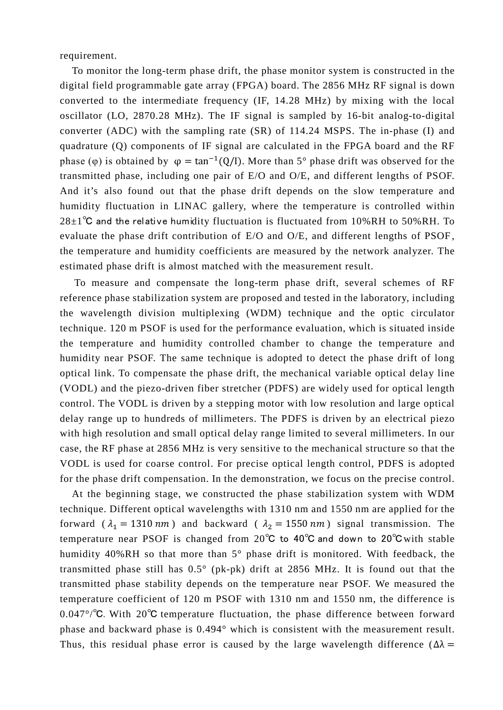requirement.

To monitor the long-term phase drift, the phase monitor system is constructed in the digital field programmable gate array (FPGA) board. The 2856 MHz RF signal is down converted to the intermediate frequency (IF, 14.28 MHz) by mixing with the local oscillator (LO, 2870.28 MHz). The IF signal is sampled by 16-bit analog-to-digital converter (ADC) with the sampling rate (SR) of 114.24 MSPS. The in-phase (I) and quadrature (Q) components of IF signal are calculated in the FPGA board and the RF phase (φ) is obtained by  $\varphi = \tan^{-1}(Q/I)$ . More than 5° phase drift was observed for the transmitted phase, including one pair of E/O and O/E, and different lengths of PSOF. And it's also found out that the phase drift depends on the slow temperature and humidity fluctuation in LINAC gallery, where the temperature is controlled within  $28\pm1$ °C and the relative humidity fluctuation is fluctuated from 10%RH to 50%RH. To evaluate the phase drift contribution of E/O and O/E, and different lengths of PSOF , the temperature and humidity coefficients are measured by the network analyzer. The estimated phase drift is almost matched with the measurement result.

To measure and compensate the long-term phase drift, several schemes of RF reference phase stabilization system are proposed and tested in the laboratory, including the wavelength division multiplexing (WDM) technique and the optic circulator technique. 120 m PSOF is used for the performance evaluation, which is situated inside the temperature and humidity controlled chamber to change the temperature and humidity near PSOF. The same technique is adopted to detect the phase drift of long optical link. To compensate the phase drift, the mechanical variable optical delay line (VODL) and the piezo-driven fiber stretcher (PDFS) are widely used for optical length control. The VODL is driven by a stepping motor with low resolution and large optical delay range up to hundreds of millimeters. The PDFS is driven by an electrical piezo with high resolution and small optical delay range limited to several millimeters. In our case, the RF phase at 2856 MHz is very sensitive to the mechanical structure so that the VODL is used for coarse control. For precise optical length control, PDFS is adopted for the phase drift compensation. In the demonstration, we focus on the precise control.

At the beginning stage, we constructed the phase stabilization system with WDM technique. Different optical wavelengths with 1310 nm and 1550 nm are applied for the forward ( $\lambda_1 = 1310 \text{ nm}$ ) and backward ( $\lambda_2 = 1550 \text{ nm}$ ) signal transmission. The temperature near PSOF is changed from 20℃ to 40℃ and down to 20℃with stable humidity 40%RH so that more than 5° phase drift is monitored. With feedback, the transmitted phase still has 0.5° (pk-pk) drift at 2856 MHz. It is found out that the transmitted phase stability depends on the temperature near PSOF. We measured the temperature coefficient of 120 m PSOF with 1310 nm and 1550 nm, the difference is 0.047°/℃. With 20℃ temperature fluctuation, the phase difference between forward phase and backward phase is 0.494° which is consistent with the measurement result. Thus, this residual phase error is caused by the large wavelength difference ( $\Delta\lambda$  =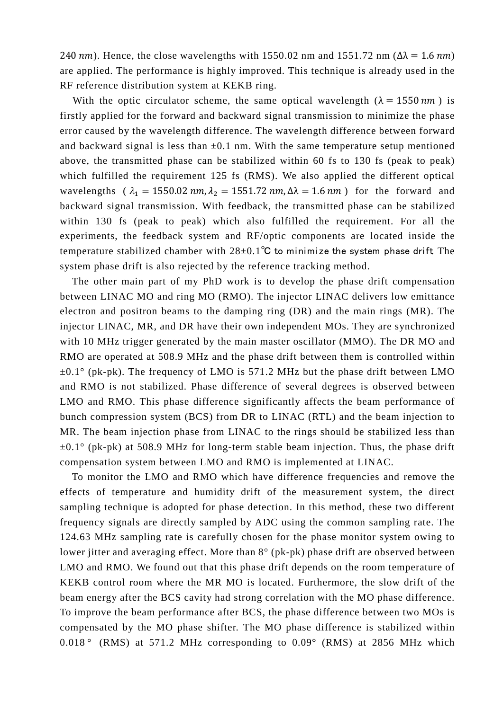240 nm). Hence, the close wavelengths with 1550.02 nm and 1551.72 nm ( $\Delta \lambda = 1.6$  nm) are applied. The performance is highly improved. This technique is already used in the RF reference distribution system at KEKB ring.

With the optic circulator scheme, the same optical wavelength ( $\lambda = 1550 \text{ nm}$ ) is firstly applied for the forward and backward signal transmission to minimize the phase error caused by the wavelength difference. The wavelength difference between forward and backward signal is less than  $\pm 0.1$  nm. With the same temperature setup mentioned above, the transmitted phase can be stabilized within 60 fs to 130 fs (peak to peak) which fulfilled the requirement 125 fs (RMS). We also applied the different optical wavelengths ( $\lambda_1 = 1550.02$  nm,  $\lambda_2 = 1551.72$  nm,  $\Delta\lambda = 1.6$  nm) for the forward and backward signal transmission. With feedback, the transmitted phase can be stabilized within 130 fs (peak to peak) which also fulfilled the requirement. For all the experiments, the feedback system and RF/optic components are located inside the temperature stabilized chamber with  $28\pm0.1^{\circ}$ C to minimize the system phase drift. The system phase drift is also rejected by the reference tracking method.

The other main part of my PhD work is to develop the phase drift compensation between LINAC MO and ring MO (RMO). The injector LINAC delivers low emittance electron and positron beams to the damping ring (DR) and the main rings (MR). The injector LINAC, MR, and DR have their own independent MOs. They are synchronized with 10 MHz trigger generated by the main master oscillator (MMO). The DR MO and RMO are operated at 508.9 MHz and the phase drift between them is controlled within  $\pm 0.1^{\circ}$  (pk-pk). The frequency of LMO is 571.2 MHz but the phase drift between LMO and RMO is not stabilized. Phase difference of several degrees is observed between LMO and RMO. This phase difference significantly affects the beam performance of bunch compression system (BCS) from DR to LINAC (RTL) and the beam injection to MR. The beam injection phase from LINAC to the rings should be stabilized less than  $\pm 0.1^{\circ}$  (pk-pk) at 508.9 MHz for long-term stable beam injection. Thus, the phase drift compensation system between LMO and RMO is implemented at LINAC.

To monitor the LMO and RMO which have difference frequencies and remove the effects of temperature and humidity drift of the measurement system, the direct sampling technique is adopted for phase detection. In this method, these two different frequency signals are directly sampled by ADC using the common sampling rate. The 124.63 MHz sampling rate is carefully chosen for the phase monitor system owing to lower jitter and averaging effect. More than 8° (pk-pk) phase drift are observed between LMO and RMO. We found out that this phase drift depends on the room temperature of KEKB control room where the MR MO is located. Furthermore, the slow drift of the beam energy after the BCS cavity had strong correlation with the MO phase difference. To improve the beam performance after BCS, the phase difference between two MOs is compensated by the MO phase shifter. The MO phase difference is stabilized within 0.018 ° (RMS) at 571.2 MHz corresponding to 0.09° (RMS) at 2856 MHz which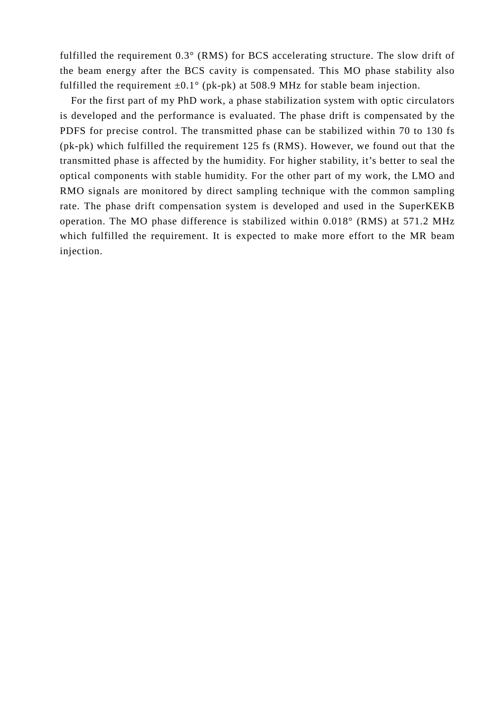fulfilled the requirement 0.3° (RMS) for BCS accelerating structure. The slow drift of the beam energy after the BCS cavity is compensated. This MO phase stability also fulfilled the requirement  $\pm 0.1^{\circ}$  (pk-pk) at 508.9 MHz for stable beam injection.

For the first part of my PhD work, a phase stabilization system with optic circulators is developed and the performance is evaluated. The phase drift is compensated by the PDFS for precise control. The transmitted phase can be stabilized within 70 to 130 fs (pk-pk) which fulfilled the requirement 125 fs (RMS). However, we found out that the transmitted phase is affected by the humidity. For higher stability, it's better to seal the optical components with stable humidity. For the other part of my work, the LMO and RMO signals are monitored by direct sampling technique with the common sampling rate. The phase drift compensation system is developed and used in the SuperKEKB operation. The MO phase difference is stabilized within 0.018° (RMS) at 571.2 MHz which fulfilled the requirement. It is expected to make more effort to the MR beam injection.